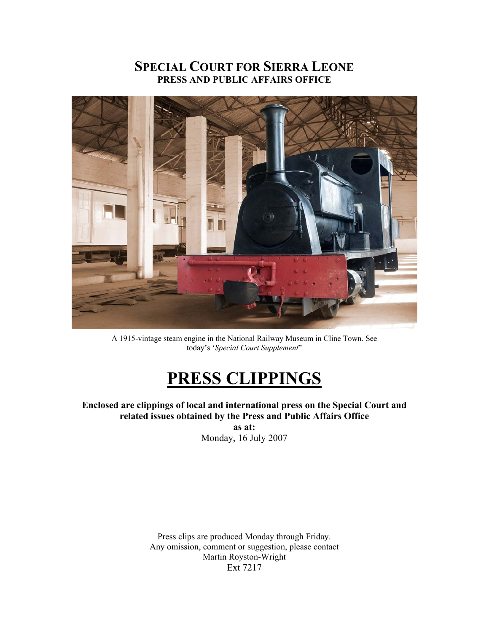# **SPECIAL COURT FOR SIERRA LEONE PRESS AND PUBLIC AFFAIRS OFFICE**



A 1915-vintage steam engine in the National Railway Museum in Cline Town. See today's '*Special Court Supplement*"

# **PRESS CLIPPINGS**

**Enclosed are clippings of local and international press on the Special Court and related issues obtained by the Press and Public Affairs Office** 

> **as at:**  Monday, 16 July 2007

Press clips are produced Monday through Friday. Any omission, comment or suggestion, please contact Martin Royston-Wright Ext 7217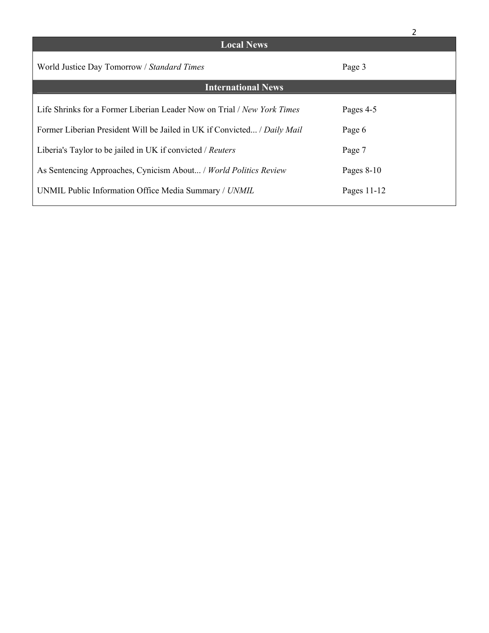|                                                                          | 2            |
|--------------------------------------------------------------------------|--------------|
| <b>Local News</b>                                                        |              |
| World Justice Day Tomorrow / Standard Times                              | Page 3       |
| <b>International News</b>                                                |              |
| Life Shrinks for a Former Liberian Leader Now on Trial / New York Times  | Pages 4-5    |
| Former Liberian President Will be Jailed in UK if Convicted / Daily Mail | Page 6       |
| Liberia's Taylor to be jailed in UK if convicted / Reuters               | Page 7       |
| As Sentencing Approaches, Cynicism About / World Politics Review         | Pages $8-10$ |
| UNMIL Public Information Office Media Summary / UNMIL                    | Pages 11-12  |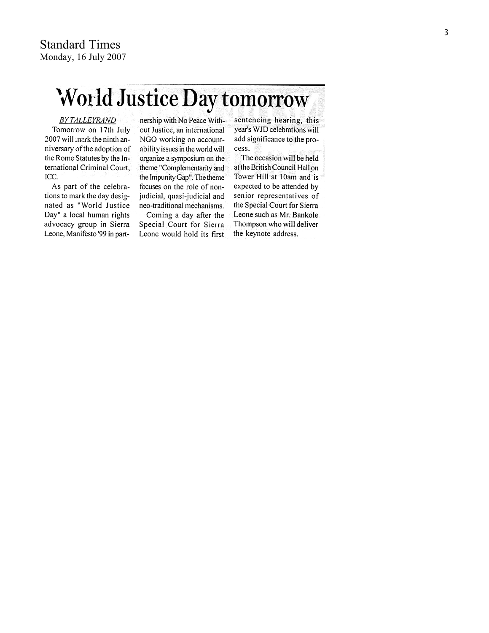# World Justice Day tomorrow

#### **BYTALLEYRAND**

Tomorrow on 17th July 2007 will nack the ninth anniversary of the adoption of the Rome Statutes by the International Criminal Court, ICC.

As part of the celebrations to mark the day designated as "World Justice Day" a local human rights advocacy group in Sierra Leone, Manifesto '99 in partnership with No Peace Without Justice, an international NGO working on accountability issues in the world will organize a symposium on the theme "Complementarity and the Impunity Gap". The theme focuses on the role of nonjudicial, quasi-judicial and neo-traditional mechanisms. Coming a day after the

Special Court for Sierra Leone would hold its first sentencing hearing, this year's WJD celebrations will add significance to the process.

The occasion will be held at the British Council Hall on Tower Hill at 10am and is expected to be attended by senior representatives of the Special Court for Sierra Leone such as Mr. Bankole Thompson who will deliver the keynote address.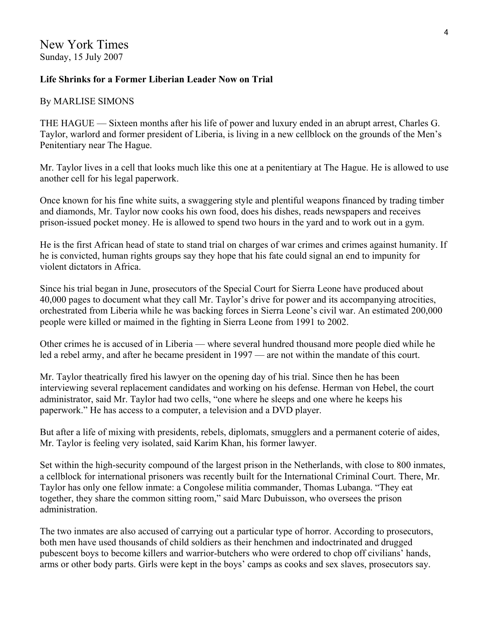# **Life Shrinks for a Former Liberian Leader Now on Trial**

# By MARLISE SIMONS

THE HAGUE — Sixteen months after his life of power and luxury ended in an abrupt arrest, Charles G. Taylor, warlord and former president of Liberia, is living in a new cellblock on the grounds of the Men's Penitentiary near The Hague.

Mr. Taylor lives in a cell that looks much like this one at a penitentiary at The Hague. He is allowed to use another cell for his legal paperwork.

Once known for his fine white suits, a swaggering style and plentiful weapons financed by trading timber and diamonds, Mr. Taylor now cooks his own food, does his dishes, reads newspapers and receives prison-issued pocket money. He is allowed to spend two hours in the yard and to work out in a gym.

He is the first African head of state to stand trial on charges of war crimes and crimes against humanity. If he is convicted, human rights groups say they hope that his fate could signal an end to impunity for violent dictators in Africa.

Since his trial began in June, prosecutors of the Special Court for Sierra Leone have produced about 40,000 pages to document what they call Mr. Taylor's drive for power and its accompanying atrocities, orchestrated from Liberia while he was backing forces in Sierra Leone's civil war. An estimated 200,000 people were killed or maimed in the fighting in Sierra Leone from 1991 to 2002.

Other crimes he is accused of in Liberia — where several hundred thousand more people died while he led a rebel army, and after he became president in 1997 — are not within the mandate of this court.

Mr. Taylor theatrically fired his lawyer on the opening day of his trial. Since then he has been interviewing several replacement candidates and working on his defense. Herman von Hebel, the court administrator, said Mr. Taylor had two cells, "one where he sleeps and one where he keeps his paperwork." He has access to a computer, a television and a DVD player.

But after a life of mixing with presidents, rebels, diplomats, smugglers and a permanent coterie of aides, Mr. Taylor is feeling very isolated, said Karim Khan, his former lawyer.

Set within the high-security compound of the largest prison in the Netherlands, with close to 800 inmates, a cellblock for international prisoners was recently built for the International Criminal Court. There, Mr. Taylor has only one fellow inmate: a Congolese militia commander, Thomas Lubanga. "They eat together, they share the common sitting room," said Marc Dubuisson, who oversees the prison administration.

The two inmates are also accused of carrying out a particular type of horror. According to prosecutors, both men have used thousands of child soldiers as their henchmen and indoctrinated and drugged pubescent boys to become killers and warrior-butchers who were ordered to chop off civilians' hands, arms or other body parts. Girls were kept in the boys' camps as cooks and sex slaves, prosecutors say.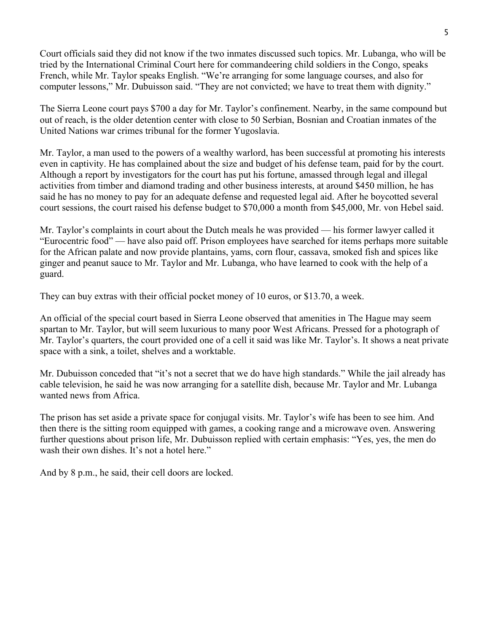Court officials said they did not know if the two inmates discussed such topics. Mr. Lubanga, who will be tried by the International Criminal Court here for commandeering child soldiers in the Congo, speaks French, while Mr. Taylor speaks English. "We're arranging for some language courses, and also for computer lessons," Mr. Dubuisson said. "They are not convicted; we have to treat them with dignity."

The Sierra Leone court pays \$700 a day for Mr. Taylor's confinement. Nearby, in the same compound but out of reach, is the older detention center with close to 50 Serbian, Bosnian and Croatian inmates of the United Nations war crimes tribunal for the former Yugoslavia.

Mr. Taylor, a man used to the powers of a wealthy warlord, has been successful at promoting his interests even in captivity. He has complained about the size and budget of his defense team, paid for by the court. Although a report by investigators for the court has put his fortune, amassed through legal and illegal activities from timber and diamond trading and other business interests, at around \$450 million, he has said he has no money to pay for an adequate defense and requested legal aid. After he boycotted several court sessions, the court raised his defense budget to \$70,000 a month from \$45,000, Mr. von Hebel said.

Mr. Taylor's complaints in court about the Dutch meals he was provided — his former lawyer called it "Eurocentric food" — have also paid off. Prison employees have searched for items perhaps more suitable for the African palate and now provide plantains, yams, corn flour, cassava, smoked fish and spices like ginger and peanut sauce to Mr. Taylor and Mr. Lubanga, who have learned to cook with the help of a guard.

They can buy extras with their official pocket money of 10 euros, or \$13.70, a week.

An official of the special court based in Sierra Leone observed that amenities in The Hague may seem spartan to Mr. Taylor, but will seem luxurious to many poor West Africans. Pressed for a photograph of Mr. Taylor's quarters, the court provided one of a cell it said was like Mr. Taylor's. It shows a neat private space with a sink, a toilet, shelves and a worktable.

Mr. Dubuisson conceded that "it's not a secret that we do have high standards." While the jail already has cable television, he said he was now arranging for a satellite dish, because Mr. Taylor and Mr. Lubanga wanted news from Africa.

The prison has set aside a private space for conjugal visits. Mr. Taylor's wife has been to see him. And then there is the sitting room equipped with games, a cooking range and a microwave oven. Answering further questions about prison life, Mr. Dubuisson replied with certain emphasis: "Yes, yes, the men do wash their own dishes. It's not a hotel here."

And by 8 p.m., he said, their cell doors are locked.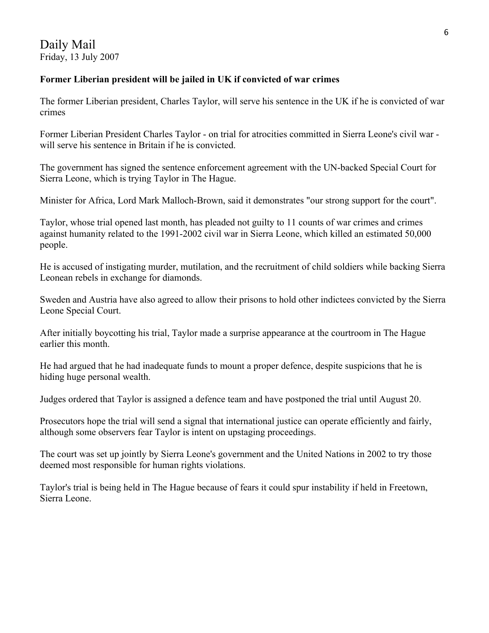Daily Mail Friday, 13 July 2007

## **Former Liberian president will be jailed in UK if convicted of war crimes**

The former Liberian president, Charles Taylor, will serve his sentence in the UK if he is convicted of war crimes

Former Liberian President Charles Taylor - on trial for atrocities committed in Sierra Leone's civil war will serve his sentence in Britain if he is convicted.

The government has signed the sentence enforcement agreement with the UN-backed Special Court for Sierra Leone, which is trying Taylor in The Hague.

Minister for Africa, Lord Mark Malloch-Brown, said it demonstrates "our strong support for the court".

Taylor, whose trial opened last month, has pleaded not guilty to 11 counts of war crimes and crimes against humanity related to the 1991-2002 civil war in Sierra Leone, which killed an estimated 50,000 people.

He is accused of instigating murder, mutilation, and the recruitment of child soldiers while backing Sierra Leonean rebels in exchange for diamonds.

Sweden and Austria have also agreed to allow their prisons to hold other indictees convicted by the Sierra Leone Special Court.

After initially boycotting his trial, Taylor made a surprise appearance at the courtroom in The Hague earlier this month.

He had argued that he had inadequate funds to mount a proper defence, despite suspicions that he is hiding huge personal wealth.

Judges ordered that Taylor is assigned a defence team and have postponed the trial until August 20.

Prosecutors hope the trial will send a signal that international justice can operate efficiently and fairly, although some observers fear Taylor is intent on upstaging proceedings.

The court was set up jointly by Sierra Leone's government and the United Nations in 2002 to try those deemed most responsible for human rights violations.

Taylor's trial is being held in The Hague because of fears it could spur instability if held in Freetown, Sierra Leone.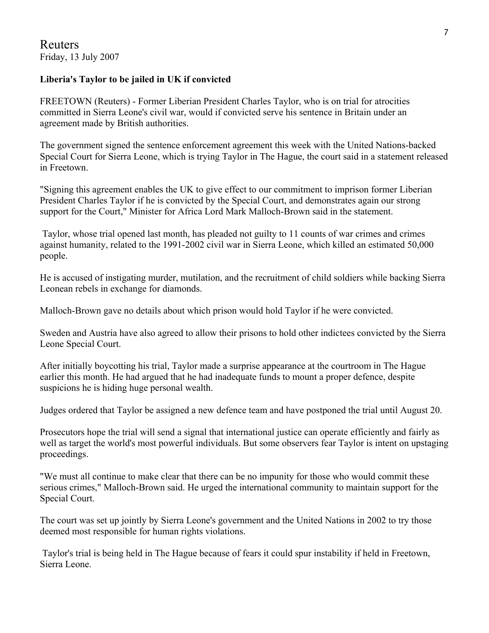# **Liberia's Taylor to be jailed in UK if convicted**

FREETOWN (Reuters) - Former Liberian President Charles Taylor, who is on trial for atrocities committed in Sierra Leone's civil war, would if convicted serve his sentence in Britain under an agreement made by British authorities.

The government signed the sentence enforcement agreement this week with the United Nations-backed Special Court for Sierra Leone, which is trying Taylor in The Hague, the court said in a statement released in Freetown.

"Signing this agreement enables the UK to give effect to our commitment to imprison former Liberian President Charles Taylor if he is convicted by the Special Court, and demonstrates again our strong support for the Court," Minister for Africa Lord Mark Malloch-Brown said in the statement.

 Taylor, whose trial opened last month, has pleaded not guilty to 11 counts of war crimes and crimes against humanity, related to the 1991-2002 civil war in Sierra Leone, which killed an estimated 50,000 people.

He is accused of instigating murder, mutilation, and the recruitment of child soldiers while backing Sierra Leonean rebels in exchange for diamonds.

Malloch-Brown gave no details about which prison would hold Taylor if he were convicted.

Sweden and Austria have also agreed to allow their prisons to hold other indictees convicted by the Sierra Leone Special Court.

After initially boycotting his trial, Taylor made a surprise appearance at the courtroom in The Hague earlier this month. He had argued that he had inadequate funds to mount a proper defence, despite suspicions he is hiding huge personal wealth.

Judges ordered that Taylor be assigned a new defence team and have postponed the trial until August 20.

Prosecutors hope the trial will send a signal that international justice can operate efficiently and fairly as well as target the world's most powerful individuals. But some observers fear Taylor is intent on upstaging proceedings.

"We must all continue to make clear that there can be no impunity for those who would commit these serious crimes," Malloch-Brown said. He urged the international community to maintain support for the Special Court.

The court was set up jointly by Sierra Leone's government and the United Nations in 2002 to try those deemed most responsible for human rights violations.

 Taylor's trial is being held in The Hague because of fears it could spur instability if held in Freetown, Sierra Leone.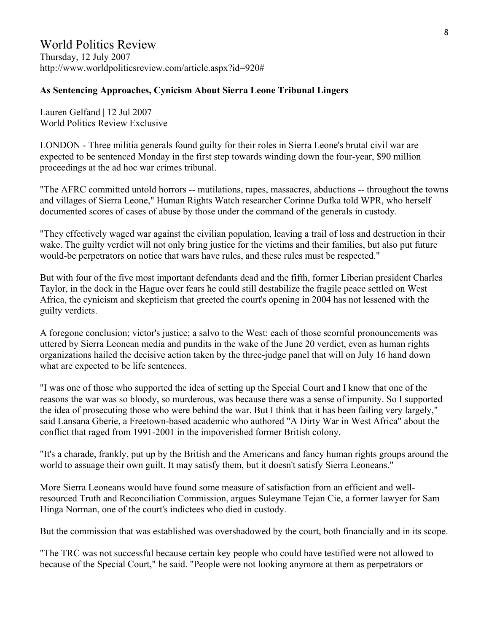### **As Sentencing Approaches, Cynicism About Sierra Leone Tribunal Lingers**

Lauren Gelfand | 12 Jul 2007 World Politics Review Exclusive

LONDON - Three militia generals found guilty for their roles in Sierra Leone's brutal civil war are expected to be sentenced Monday in the first step towards winding down the four-year, \$90 million proceedings at the ad hoc war crimes tribunal.

"The AFRC committed untold horrors -- mutilations, rapes, massacres, abductions -- throughout the towns and villages of Sierra Leone," Human Rights Watch researcher Corinne Dufka told WPR, who herself documented scores of cases of abuse by those under the command of the generals in custody.

"They effectively waged war against the civilian population, leaving a trail of loss and destruction in their wake. The guilty verdict will not only bring justice for the victims and their families, but also put future would-be perpetrators on notice that wars have rules, and these rules must be respected."

But with four of the five most important defendants dead and the fifth, former Liberian president Charles Taylor, in the dock in the Hague over fears he could still destabilize the fragile peace settled on West Africa, the cynicism and skepticism that greeted the court's opening in 2004 has not lessened with the guilty verdicts.

A foregone conclusion; victor's justice; a salvo to the West: each of those scornful pronouncements was uttered by Sierra Leonean media and pundits in the wake of the June 20 verdict, even as human rights organizations hailed the decisive action taken by the three-judge panel that will on July 16 hand down what are expected to be life sentences.

"I was one of those who supported the idea of setting up the Special Court and I know that one of the reasons the war was so bloody, so murderous, was because there was a sense of impunity. So I supported the idea of prosecuting those who were behind the war. But I think that it has been failing very largely," said Lansana Gberie, a Freetown-based academic who authored "A Dirty War in West Africa" about the conflict that raged from 1991-2001 in the impoverished former British colony.

"It's a charade, frankly, put up by the British and the Americans and fancy human rights groups around the world to assuage their own guilt. It may satisfy them, but it doesn't satisfy Sierra Leoneans."

More Sierra Leoneans would have found some measure of satisfaction from an efficient and wellresourced Truth and Reconciliation Commission, argues Suleymane Tejan Cie, a former lawyer for Sam Hinga Norman, one of the court's indictees who died in custody.

But the commission that was established was overshadowed by the court, both financially and in its scope.

"The TRC was not successful because certain key people who could have testified were not allowed to because of the Special Court," he said. "People were not looking anymore at them as perpetrators or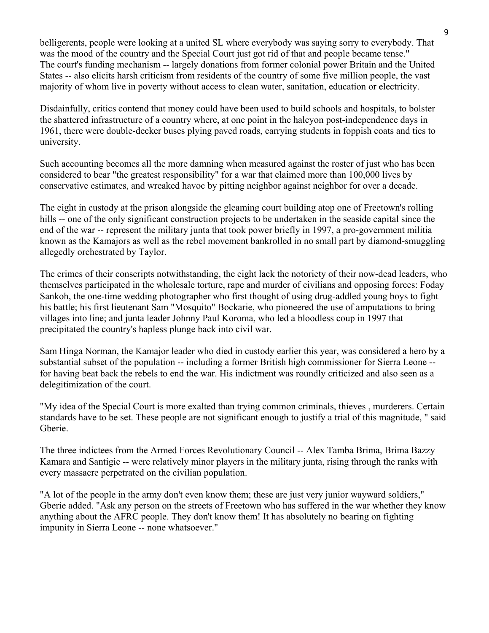belligerents, people were looking at a united SL where everybody was saying sorry to everybody. That was the mood of the country and the Special Court just got rid of that and people became tense." The court's funding mechanism -- largely donations from former colonial power Britain and the United States -- also elicits harsh criticism from residents of the country of some five million people, the vast majority of whom live in poverty without access to clean water, sanitation, education or electricity.

Disdainfully, critics contend that money could have been used to build schools and hospitals, to bolster the shattered infrastructure of a country where, at one point in the halcyon post-independence days in 1961, there were double-decker buses plying paved roads, carrying students in foppish coats and ties to university.

Such accounting becomes all the more damning when measured against the roster of just who has been considered to bear "the greatest responsibility" for a war that claimed more than 100,000 lives by conservative estimates, and wreaked havoc by pitting neighbor against neighbor for over a decade.

The eight in custody at the prison alongside the gleaming court building atop one of Freetown's rolling hills -- one of the only significant construction projects to be undertaken in the seaside capital since the end of the war -- represent the military junta that took power briefly in 1997, a pro-government militia known as the Kamajors as well as the rebel movement bankrolled in no small part by diamond-smuggling allegedly orchestrated by Taylor.

The crimes of their conscripts notwithstanding, the eight lack the notoriety of their now-dead leaders, who themselves participated in the wholesale torture, rape and murder of civilians and opposing forces: Foday Sankoh, the one-time wedding photographer who first thought of using drug-addled young boys to fight his battle; his first lieutenant Sam "Mosquito" Bockarie, who pioneered the use of amputations to bring villages into line; and junta leader Johnny Paul Koroma, who led a bloodless coup in 1997 that precipitated the country's hapless plunge back into civil war.

Sam Hinga Norman, the Kamajor leader who died in custody earlier this year, was considered a hero by a substantial subset of the population -- including a former British high commissioner for Sierra Leone - for having beat back the rebels to end the war. His indictment was roundly criticized and also seen as a delegitimization of the court.

"My idea of the Special Court is more exalted than trying common criminals, thieves , murderers. Certain standards have to be set. These people are not significant enough to justify a trial of this magnitude, " said Gberie.

The three indictees from the Armed Forces Revolutionary Council -- Alex Tamba Brima, Brima Bazzy Kamara and Santigie -- were relatively minor players in the military junta, rising through the ranks with every massacre perpetrated on the civilian population.

"A lot of the people in the army don't even know them; these are just very junior wayward soldiers," Gberie added. "Ask any person on the streets of Freetown who has suffered in the war whether they know anything about the AFRC people. They don't know them! It has absolutely no bearing on fighting impunity in Sierra Leone -- none whatsoever."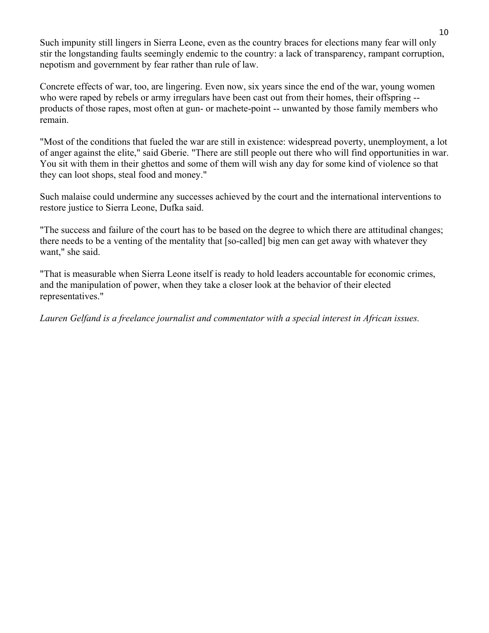Such impunity still lingers in Sierra Leone, even as the country braces for elections many fear will only stir the longstanding faults seemingly endemic to the country: a lack of transparency, rampant corruption, nepotism and government by fear rather than rule of law.

Concrete effects of war, too, are lingering. Even now, six years since the end of the war, young women who were raped by rebels or army irregulars have been cast out from their homes, their offspring -products of those rapes, most often at gun- or machete-point -- unwanted by those family members who remain.

"Most of the conditions that fueled the war are still in existence: widespread poverty, unemployment, a lot of anger against the elite," said Gberie. "There are still people out there who will find opportunities in war. You sit with them in their ghettos and some of them will wish any day for some kind of violence so that they can loot shops, steal food and money."

Such malaise could undermine any successes achieved by the court and the international interventions to restore justice to Sierra Leone, Dufka said.

"The success and failure of the court has to be based on the degree to which there are attitudinal changes; there needs to be a venting of the mentality that [so-called] big men can get away with whatever they want," she said.

"That is measurable when Sierra Leone itself is ready to hold leaders accountable for economic crimes, and the manipulation of power, when they take a closer look at the behavior of their elected representatives."

*Lauren Gelfand is a freelance journalist and commentator with a special interest in African issues.*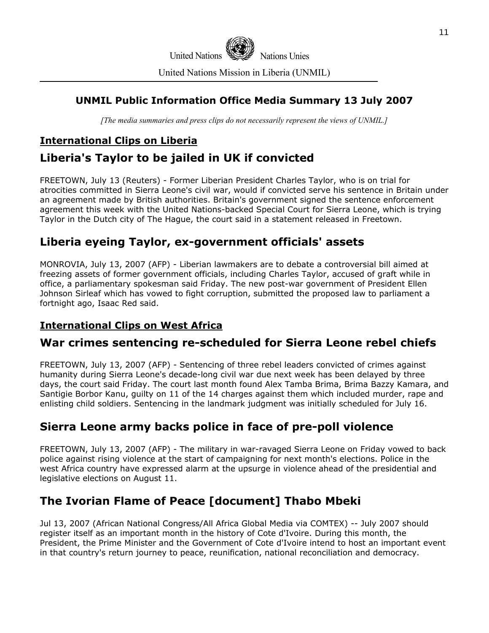

#### United Nations Mission in Liberia (UNMIL)

# **UNMIL Public Information Office Media Summary 13 July 2007**

*[The media summaries and press clips do not necessarily represent the views of UNMIL.]*

# **International Clips on Liberia**

# **Liberia's Taylor to be jailed in UK if convicted**

FREETOWN, July 13 (Reuters) - Former Liberian President Charles Taylor, who is on trial for atrocities committed in Sierra Leone's civil war, would if convicted serve his sentence in Britain under an agreement made by British authorities. Britain's government signed the sentence enforcement agreement this week with the United Nations-backed Special Court for Sierra Leone, which is trying Taylor in the Dutch city of The Hague, the court said in a statement released in Freetown.

# **Liberia eyeing Taylor, ex-government officials' assets**

MONROVIA, July 13, 2007 (AFP) - Liberian lawmakers are to debate a controversial bill aimed at freezing assets of former government officials, including Charles Taylor, accused of graft while in office, a parliamentary spokesman said Friday. The new post-war government of President Ellen Johnson Sirleaf which has vowed to fight corruption, submitted the proposed law to parliament a fortnight ago, Isaac Red said.

# **International Clips on West Africa**

# **War crimes sentencing re-scheduled for Sierra Leone rebel chiefs**

FREETOWN, July 13, 2007 (AFP) - Sentencing of three rebel leaders convicted of crimes against humanity during Sierra Leone's decade-long civil war due next week has been delayed by three days, the court said Friday. The court last month found Alex Tamba Brima, Brima Bazzy Kamara, and Santigie Borbor Kanu, guilty on 11 of the 14 charges against them which included murder, rape and enlisting child soldiers. Sentencing in the landmark judgment was initially scheduled for July 16.

# **Sierra Leone army backs police in face of pre-poll violence**

FREETOWN, July 13, 2007 (AFP) - The military in war-ravaged Sierra Leone on Friday vowed to back police against rising violence at the start of campaigning for next month's elections. Police in the west Africa country have expressed alarm at the upsurge in violence ahead of the presidential and legislative elections on August 11.

# **The Ivorian Flame of Peace [document] Thabo Mbeki**

Jul 13, 2007 (African National Congress/All Africa Global Media via COMTEX) -- July 2007 should register itself as an important month in the history of Cote d'Ivoire. During this month, the President, the Prime Minister and the Government of Cote d'Ivoire intend to host an important event in that country's return journey to peace, reunification, national reconciliation and democracy.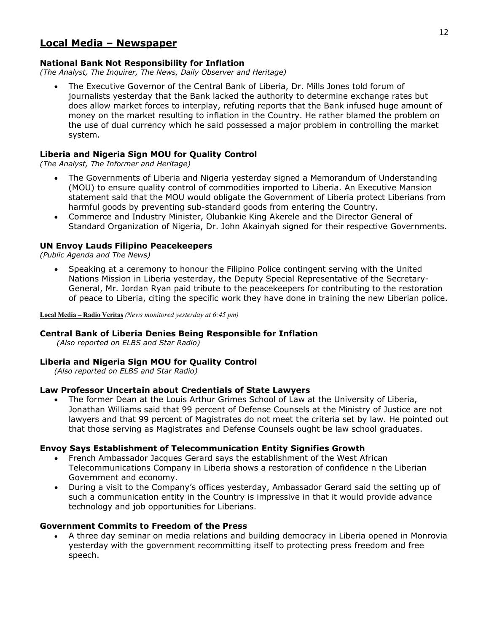# **Local Media – Newspaper**

#### **National Bank Not Responsibility for Inflation**

*(The Analyst, The Inquirer, The News, Daily Observer and Heritage)* 

• The Executive Governor of the Central Bank of Liberia, Dr. Mills Jones told forum of journalists yesterday that the Bank lacked the authority to determine exchange rates but does allow market forces to interplay, refuting reports that the Bank infused huge amount of money on the market resulting to inflation in the Country. He rather blamed the problem on the use of dual currency which he said possessed a major problem in controlling the market system.

#### **Liberia and Nigeria Sign MOU for Quality Control**

*(The Analyst, The Informer and Heritage)* 

- The Governments of Liberia and Nigeria yesterday signed a Memorandum of Understanding (MOU) to ensure quality control of commodities imported to Liberia. An Executive Mansion statement said that the MOU would obligate the Government of Liberia protect Liberians from harmful goods by preventing sub-standard goods from entering the Country.
- Commerce and Industry Minister, Olubankie King Akerele and the Director General of Standard Organization of Nigeria, Dr. John Akainyah signed for their respective Governments.

#### **UN Envoy Lauds Filipino Peacekeepers**

*(Public Agenda and The News)* 

• Speaking at a ceremony to honour the Filipino Police contingent serving with the United Nations Mission in Liberia yesterday, the Deputy Special Representative of the Secretary-General, Mr. Jordan Ryan paid tribute to the peacekeepers for contributing to the restoration of peace to Liberia, citing the specific work they have done in training the new Liberian police.

**Local Media – Radio Veritas** *(News monitored yesterday at 6:45 pm)* 

#### **Central Bank of Liberia Denies Being Responsible for Inflation**

 *(Also reported on ELBS and Star Radio)*

#### **Liberia and Nigeria Sign MOU for Quality Control**

*(Also reported on ELBS and Star Radio)*

#### **Law Professor Uncertain about Credentials of State Lawyers**

• The former Dean at the Louis Arthur Grimes School of Law at the University of Liberia, Jonathan Williams said that 99 percent of Defense Counsels at the Ministry of Justice are not lawyers and that 99 percent of Magistrates do not meet the criteria set by law. He pointed out that those serving as Magistrates and Defense Counsels ought be law school graduates.

#### **Envoy Says Establishment of Telecommunication Entity Signifies Growth**

- French Ambassador Jacques Gerard says the establishment of the West African Telecommunications Company in Liberia shows a restoration of confidence n the Liberian Government and economy.
- During a visit to the Company's offices yesterday, Ambassador Gerard said the setting up of such a communication entity in the Country is impressive in that it would provide advance technology and job opportunities for Liberians.

#### **Government Commits to Freedom of the Press**

• A three day seminar on media relations and building democracy in Liberia opened in Monrovia yesterday with the government recommitting itself to protecting press freedom and free speech.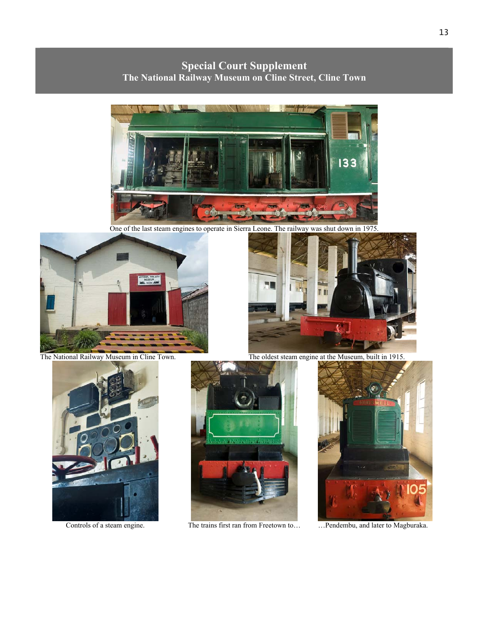**Special Court Supplement The National Railway Museum on Cline Street, Cline Town** 



One of the last steam engines to operate in Sierra Leone. The railway was shut down in 1975.







Controls of a steam engine. The trains first ran from Freetown to... <sup>1</sup> ...Pendembu, and later to Magburaka.



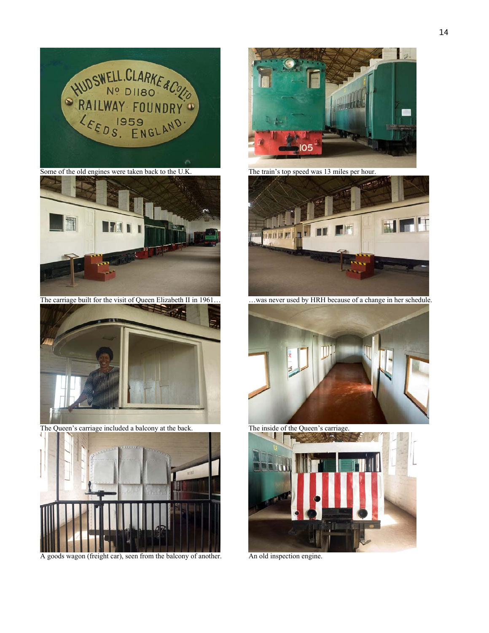

Some of the old engines were taken back to the U.K. The train's top speed was 13 miles per hour.



The carriage built for the visit of Queen Elizabeth II in 1961… was never used by HRH because of a change in her schedule.



The Queen's carriage included a balcony at the back. The inside of the Queen's carriage.



A goods wagon (freight car), seen from the balcony of another. An old inspection engine.